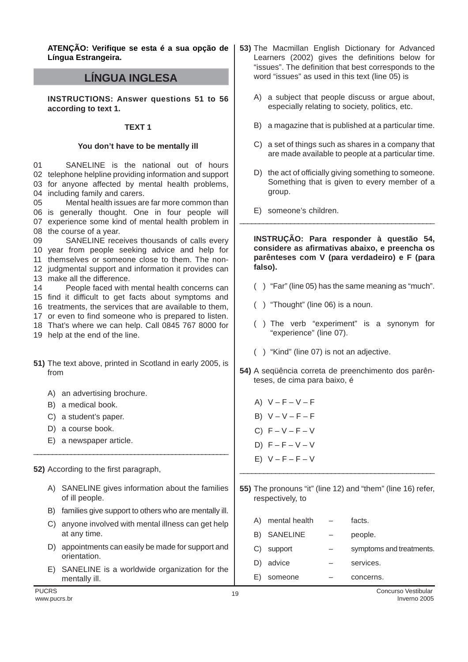**ATENÇÃO: Verifique se esta é a sua opção de Língua Estrangeira.**

# **LÍNGUA INGLESA**

**INSTRUCTIONS: Answer questions 51 to 56 according to text 1.**

### **TEXT 1**

### **You don't have to be mentally ill**

01 02 telephone helpline providing information and support 03 for anyone affected by mental health problems, 04 including family and carers. 05 06 is generally thought. One in four people will 07 experience some kind of mental health problem in 08 the course of a year. 09 10 year from people seeking advice and help for 11 themselves or someone close to them. The non-12 judgmental support and information it provides can 13 make all the difference. 14 15 find it difficult to get facts about symptoms and 16 treatments, the services that are available to them, 17 or even to find someone who is prepared to listen. 18 That's where we can help. Call 0845 767 8000 for 19 help at the end of the line.**51)** The text above, printed in Scotland in early 2005, is from A) an advertising brochure. B) a medical book. C) a student's paper. D) a course book. E) a newspaper article. \_\_\_\_\_\_\_\_\_\_\_\_\_\_\_\_\_\_\_\_\_\_\_\_\_\_\_\_\_\_\_\_\_\_\_\_\_\_\_\_\_\_\_\_\_\_\_\_\_\_\_\_ **52)** According to the first paragraph, A) SANELINE gives information about the families of ill people. B) families give support to others who are mentally ill. C) anyone involved with mental illness can get help at any time. D) appointments can easily be made for support and D) the act of officially giving something to someone. Something that is given to every member of a group. E) someone's children. \_\_\_\_\_\_\_\_\_\_\_\_\_\_\_\_\_\_\_\_\_\_\_\_\_\_\_\_\_\_\_\_\_\_\_\_\_\_\_\_\_\_\_\_\_\_\_\_\_\_ **INSTRUÇÃO: Para responder à questão 54, considere as afirmativas abaixo, e preencha os parênteses com V (para verdadeiro) e F (para falso).** ( ) "Far" (line 05) has the same meaning as "much". ( ) "Thought" (line 06) is a noun. ( ) The verb "experiment" is a synonym for "experience" (line 07). ( ) "Kind" (line 07) is not an adjective. **54)** A seqüência correta de preenchimento dos parênteses, de cima para baixo, é A)  $V - F - V - F$ B)  $V - V - F - F$  $C)$   $F - V - F - V$ D)  $F - F - V - V$ E)  $V - F - F - V$ \_\_\_\_\_\_\_\_\_\_\_\_\_\_\_\_\_\_\_\_\_\_\_\_\_\_\_\_\_\_\_\_\_\_\_\_\_\_\_\_\_\_\_\_\_\_\_\_\_ **55)** The pronouns "it" (line 12) and "them" (line 16) refer, respectively, to A) mental health  $-$  facts. B) SANELINE – people. C) support – symptoms and treatments. SANELINE is the national out of hours Mental health issues are far more common than SANELINE receives thousands of calls every People faced with mental health concerns can

**53)** The Macmillan English Dictionary for Advanced Learners (2002) gives the definitions below for "issues". The definition that best corresponds to the

word "issues" as used in this text (line 05) is

A) a subject that people discuss or argue about, especially relating to society, politics, etc.

B) a magazine that is published at a particular time.

C) a set of things such as shares in a company that are made available to people at a particular time.

- orientation. E) SANELINE is a worldwide organization for the
- mentally ill.

D) advice  $-$  services. E) someone – concerns.